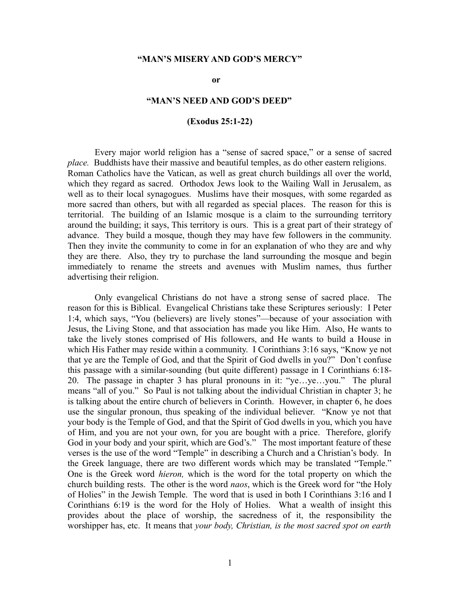# **"MAN'S MISERY AND GOD'S MERCY"**

**or**

# **"MAN'S NEED AND GOD'S DEED"**

# **(Exodus 25:1-22)**

Every major world religion has a "sense of sacred space," or a sense of sacred *place.* Buddhists have their massive and beautiful temples, as do other eastern religions. Roman Catholics have the Vatican, as well as great church buildings all over the world, which they regard as sacred. Orthodox Jews look to the Wailing Wall in Jerusalem, as well as to their local synagogues. Muslims have their mosques, with some regarded as more sacred than others, but with all regarded as special places. The reason for this is territorial. The building of an Islamic mosque is a claim to the surrounding territory around the building; it says, This territory is ours. This is a great part of their strategy of advance. They build a mosque, though they may have few followers in the community. Then they invite the community to come in for an explanation of who they are and why they are there. Also, they try to purchase the land surrounding the mosque and begin immediately to rename the streets and avenues with Muslim names, thus further advertising their religion.

Only evangelical Christians do not have a strong sense of sacred place. The reason for this is Biblical. Evangelical Christians take these Scriptures seriously: I Peter 1:4, which says, "You (believers) are lively stones"—because of your association with Jesus, the Living Stone, and that association has made you like Him. Also, He wants to take the lively stones comprised of His followers, and He wants to build a House in which His Father may reside within a community. I Corinthians 3:16 says, "Know ye not that ye are the Temple of God, and that the Spirit of God dwells in you?" Don't confuse this passage with a similar-sounding (but quite different) passage in I Corinthians 6:18- 20. The passage in chapter 3 has plural pronouns in it: "ye…ye…you." The plural means "all of you." So Paul is not talking about the individual Christian in chapter 3; he is talking about the entire church of believers in Corinth. However, in chapter 6, he does use the singular pronoun, thus speaking of the individual believer. "Know ye not that your body is the Temple of God, and that the Spirit of God dwells in you, which you have of Him, and you are not your own, for you are bought with a price. Therefore, glorify God in your body and your spirit, which are God's." The most important feature of these verses is the use of the word "Temple" in describing a Church and a Christian's body. In the Greek language, there are two different words which may be translated "Temple." One is the Greek word *hieron,* which is the word for the total property on which the church building rests. The other is the word *naos*, which is the Greek word for "the Holy of Holies" in the Jewish Temple. The word that is used in both I Corinthians 3:16 and I Corinthians 6:19 is the word for the Holy of Holies. What a wealth of insight this provides about the place of worship, the sacredness of it, the responsibility the worshipper has, etc. It means that *your body, Christian, is the most sacred spot on earth*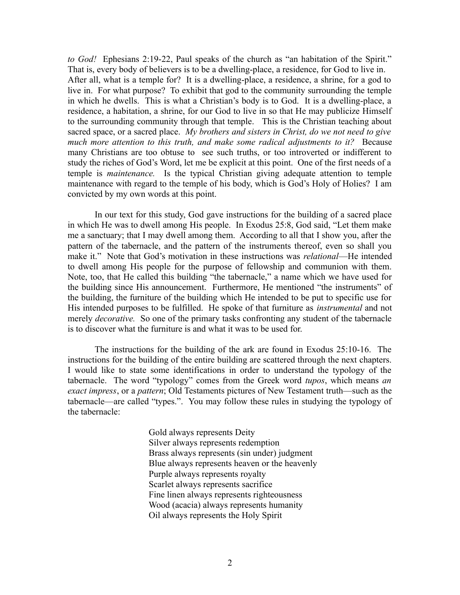*to God!* Ephesians 2:19-22, Paul speaks of the church as "an habitation of the Spirit." That is, every body of believers is to be a dwelling-place, a residence, for God to live in. After all, what is a temple for? It is a dwelling-place, a residence, a shrine, for a god to live in. For what purpose? To exhibit that god to the community surrounding the temple in which he dwells. This is what a Christian's body is to God. It is a dwelling-place, a residence, a habitation, a shrine, for our God to live in so that He may publicize Himself to the surrounding community through that temple. This is the Christian teaching about sacred space, or a sacred place. *My brothers and sisters in Christ, do we not need to give much more attention to this truth, and make some radical adjustments to it?* Because many Christians are too obtuse to see such truths, or too introverted or indifferent to study the riches of God's Word, let me be explicit at this point. One of the first needs of a temple is *maintenance.* Is the typical Christian giving adequate attention to temple maintenance with regard to the temple of his body, which is God's Holy of Holies? I am convicted by my own words at this point.

In our text for this study, God gave instructions for the building of a sacred place in which He was to dwell among His people. In Exodus 25:8, God said, "Let them make me a sanctuary; that I may dwell among them. According to all that I show you, after the pattern of the tabernacle, and the pattern of the instruments thereof, even so shall you make it." Note that God's motivation in these instructions was *relational*—He intended to dwell among His people for the purpose of fellowship and communion with them. Note, too, that He called this building "the tabernacle," a name which we have used for the building since His announcement. Furthermore, He mentioned "the instruments" of the building, the furniture of the building which He intended to be put to specific use for His intended purposes to be fulfilled. He spoke of that furniture as *instrumental* and not merely *decorative.* So one of the primary tasks confronting any student of the tabernacle is to discover what the furniture is and what it was to be used for.

The instructions for the building of the ark are found in Exodus 25:10-16. The instructions for the building of the entire building are scattered through the next chapters. I would like to state some identifications in order to understand the typology of the tabernacle. The word "typology" comes from the Greek word *tupos*, which means *an exact impress*, or a *pattern*; Old Testaments pictures of New Testament truth—such as the tabernacle—are called "types.". You may follow these rules in studying the typology of the tabernacle:

> Gold always represents Deity Silver always represents redemption Brass always represents (sin under) judgment Blue always represents heaven or the heavenly Purple always represents royalty Scarlet always represents sacrifice Fine linen always represents righteousness Wood (acacia) always represents humanity Oil always represents the Holy Spirit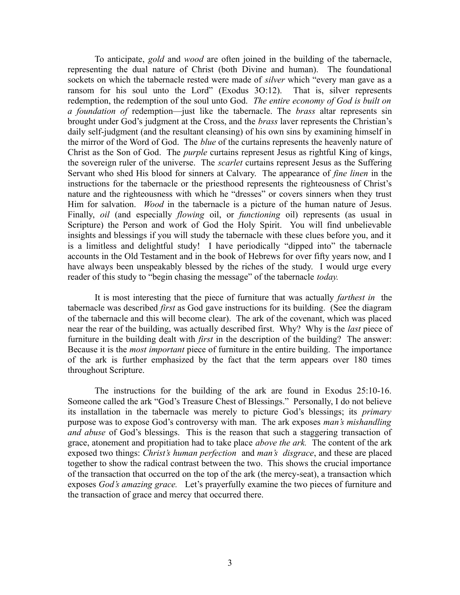To anticipate, *gold* and *wood* are often joined in the building of the tabernacle, representing the dual nature of Christ (both Divine and human). The foundational sockets on which the tabernacle rested were made of *silver* which "every man gave as a ransom for his soul unto the Lord" (Exodus 3O:12). That is, silver represents redemption, the redemption of the soul unto God. *The entire economy of God is built on a foundation of* redemption—just like the tabernacle. The *brass* altar represents sin brought under God's judgment at the Cross, and the *brass* laver represents the Christian's daily self-judgment (and the resultant cleansing) of his own sins by examining himself in the mirror of the Word of God. The *blue* of the curtains represents the heavenly nature of Christ as the Son of God. The *purple* curtains represent Jesus as rightful King of kings, the sovereign ruler of the universe. The *scarlet* curtains represent Jesus as the Suffering Servant who shed His blood for sinners at Calvary. The appearance of *fine linen* in the instructions for the tabernacle or the priesthood represents the righteousness of Christ's nature and the righteousness with which he "dresses" or covers sinners when they trust Him for salvation. *Wood* in the tabernacle is a picture of the human nature of Jesus. Finally, *oil* (and especially *flowing* oil, or *functioning* oil) represents (as usual in Scripture) the Person and work of God the Holy Spirit. You will find unbelievable insights and blessings if you will study the tabernacle with these clues before you, and it is a limitless and delightful study! I have periodically "dipped into" the tabernacle accounts in the Old Testament and in the book of Hebrews for over fifty years now, and I have always been unspeakably blessed by the riches of the study. I would urge every reader of this study to "begin chasing the message" of the tabernacle *today.*

It is most interesting that the piece of furniture that was actually *farthest in* the tabernacle was described *first* as God gave instructions for its building. (See the diagram of the tabernacle and this will become clear). The ark of the covenant, which was placed near the rear of the building, was actually described first. Why? Why is the *last* piece of furniture in the building dealt with *first* in the description of the building? The answer: Because it is the *most important* piece of furniture in the entire building. The importance of the ark is further emphasized by the fact that the term appears over 180 times throughout Scripture.

The instructions for the building of the ark are found in Exodus 25:10-16. Someone called the ark "God's Treasure Chest of Blessings." Personally, I do not believe its installation in the tabernacle was merely to picture God's blessings; its *primary* purpose was to expose God's controversy with man. The ark exposes *man's mishandling and abuse* of God's blessings. This is the reason that such a staggering transaction of grace, atonement and propitiation had to take place *above the ark.* The content of the ark exposed two things: *Christ's human perfection* and *man's disgrace*, and these are placed together to show the radical contrast between the two. This shows the crucial importance of the transaction that occurred on the top of the ark (the mercy-seat), a transaction which exposes *God's amazing grace.* Let's prayerfully examine the two pieces of furniture and the transaction of grace and mercy that occurred there.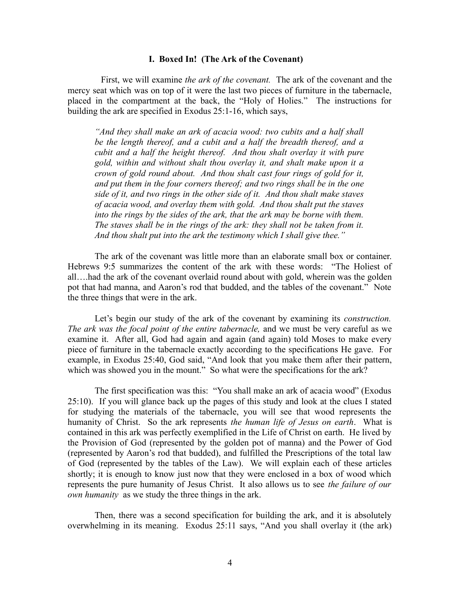#### **I. Boxed In! (The Ark of the Covenant)**

First, we will examine *the ark of the covenant.* The ark of the covenant and the mercy seat which was on top of it were the last two pieces of furniture in the tabernacle, placed in the compartment at the back, the "Holy of Holies." The instructions for building the ark are specified in Exodus 25:1-16, which says,

*"And they shall make an ark of acacia wood: two cubits and a half shall be the length thereof, and a cubit and a half the breadth thereof, and a cubit and a half the height thereof. And thou shalt overlay it with pure gold, within and without shalt thou overlay it, and shalt make upon it a crown of gold round about. And thou shalt cast four rings of gold for it, and put them in the four corners thereof; and two rings shall be in the one side of it, and two rings in the other side of it. And thou shalt make staves of acacia wood, and overlay them with gold. And thou shalt put the staves into the rings by the sides of the ark, that the ark may be borne with them. The staves shall be in the rings of the ark: they shall not be taken from it. And thou shalt put into the ark the testimony which I shall give thee."* 

The ark of the covenant was little more than an elaborate small box or container. Hebrews 9:5 summarizes the content of the ark with these words: "The Holiest of all….had the ark of the covenant overlaid round about with gold, wherein was the golden pot that had manna, and Aaron's rod that budded, and the tables of the covenant." Note the three things that were in the ark.

Let's begin our study of the ark of the covenant by examining its *construction. The ark was the focal point of the entire tabernacle,* and we must be very careful as we examine it. After all, God had again and again (and again) told Moses to make every piece of furniture in the tabernacle exactly according to the specifications He gave. For example, in Exodus 25:40, God said, "And look that you make them after their pattern, which was showed you in the mount." So what were the specifications for the ark?

The first specification was this: "You shall make an ark of acacia wood" (Exodus 25:10). If you will glance back up the pages of this study and look at the clues I stated for studying the materials of the tabernacle, you will see that wood represents the humanity of Christ. So the ark represents *the human life of Jesus on earth*. What is contained in this ark was perfectly exemplified in the Life of Christ on earth. He lived by the Provision of God (represented by the golden pot of manna) and the Power of God (represented by Aaron's rod that budded), and fulfilled the Prescriptions of the total law of God (represented by the tables of the Law). We will explain each of these articles shortly; it is enough to know just now that they were enclosed in a box of wood which represents the pure humanity of Jesus Christ. It also allows us to see *the failure of our own humanity* as we study the three things in the ark.

Then, there was a second specification for building the ark, and it is absolutely overwhelming in its meaning. Exodus 25:11 says, "And you shall overlay it (the ark)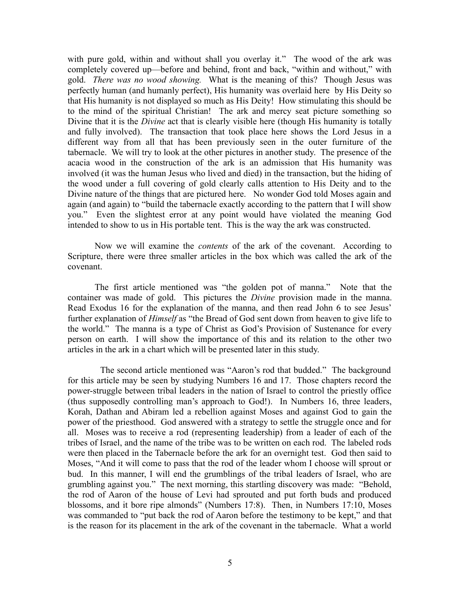with pure gold, within and without shall you overlay it." The wood of the ark was completely covered up—before and behind, front and back, "within and without," with gold. *There was no wood showing.* What is the meaning of this? Though Jesus was perfectly human (and humanly perfect), His humanity was overlaid here by His Deity so that His humanity is not displayed so much as His Deity! How stimulating this should be to the mind of the spiritual Christian! The ark and mercy seat picture something so Divine that it is the *Divine* act that is clearly visible here (though His humanity is totally and fully involved). The transaction that took place here shows the Lord Jesus in a different way from all that has been previously seen in the outer furniture of the tabernacle. We will try to look at the other pictures in another study. The presence of the acacia wood in the construction of the ark is an admission that His humanity was involved (it was the human Jesus who lived and died) in the transaction, but the hiding of the wood under a full covering of gold clearly calls attention to His Deity and to the Divine nature of the things that are pictured here. No wonder God told Moses again and again (and again) to "build the tabernacle exactly according to the pattern that I will show you." Even the slightest error at any point would have violated the meaning God intended to show to us in His portable tent. This is the way the ark was constructed.

Now we will examine the *contents* of the ark of the covenant. According to Scripture, there were three smaller articles in the box which was called the ark of the covenant.

The first article mentioned was "the golden pot of manna." Note that the container was made of gold. This pictures the *Divine* provision made in the manna. Read Exodus 16 for the explanation of the manna, and then read John 6 to see Jesus' further explanation of *Himself* as "the Bread of God sent down from heaven to give life to the world." The manna is a type of Christ as God's Provision of Sustenance for every person on earth. I will show the importance of this and its relation to the other two articles in the ark in a chart which will be presented later in this study.

 The second article mentioned was "Aaron's rod that budded." The background for this article may be seen by studying Numbers 16 and 17. Those chapters record the power-struggle between tribal leaders in the nation of Israel to control the priestly office (thus supposedly controlling man's approach to God!). In Numbers 16, three leaders, Korah, Dathan and Abiram led a rebellion against Moses and against God to gain the power of the priesthood. God answered with a strategy to settle the struggle once and for all. Moses was to receive a rod (representing leadership) from a leader of each of the tribes of Israel, and the name of the tribe was to be written on each rod. The labeled rods were then placed in the Tabernacle before the ark for an overnight test. God then said to Moses, "And it will come to pass that the rod of the leader whom I choose will sprout or bud. In this manner, I will end the grumblings of the tribal leaders of Israel, who are grumbling against you." The next morning, this startling discovery was made: "Behold, the rod of Aaron of the house of Levi had sprouted and put forth buds and produced blossoms, and it bore ripe almonds" (Numbers 17:8). Then, in Numbers 17:10, Moses was commanded to "put back the rod of Aaron before the testimony to be kept," and that is the reason for its placement in the ark of the covenant in the tabernacle. What a world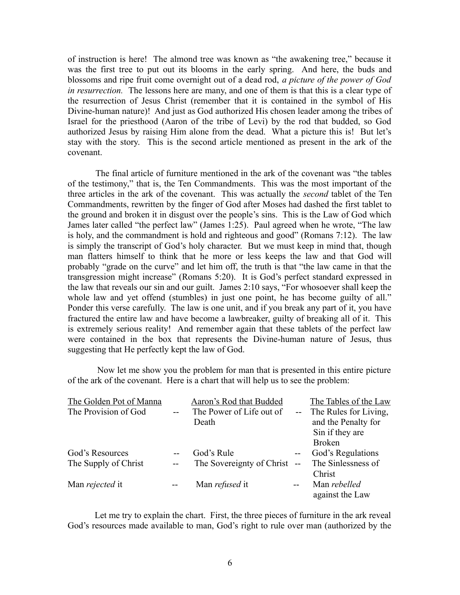of instruction is here! The almond tree was known as "the awakening tree," because it was the first tree to put out its blooms in the early spring. And here, the buds and blossoms and ripe fruit come overnight out of a dead rod, *a picture of the power of God in resurrection.* The lessons here are many, and one of them is that this is a clear type of the resurrection of Jesus Christ (remember that it is contained in the symbol of His Divine-human nature)! And just as God authorized His chosen leader among the tribes of Israel for the priesthood (Aaron of the tribe of Levi) by the rod that budded, so God authorized Jesus by raising Him alone from the dead. What a picture this is! But let's stay with the story. This is the second article mentioned as present in the ark of the covenant.

 The final article of furniture mentioned in the ark of the covenant was "the tables of the testimony," that is, the Ten Commandments. This was the most important of the three articles in the ark of the covenant. This was actually the *second* tablet of the Ten Commandments, rewritten by the finger of God after Moses had dashed the first tablet to the ground and broken it in disgust over the people's sins. This is the Law of God which James later called "the perfect law" (James 1:25). Paul agreed when he wrote, "The law is holy, and the commandment is hold and righteous and good" (Romans 7:12). The law is simply the transcript of God's holy character. But we must keep in mind that, though man flatters himself to think that he more or less keeps the law and that God will probably "grade on the curve" and let him off, the truth is that "the law came in that the transgression might increase" (Romans 5:20). It is God's perfect standard expressed in the law that reveals our sin and our guilt. James 2:10 says, "For whosoever shall keep the whole law and yet offend (stumbles) in just one point, he has become guilty of all." Ponder this verse carefully. The law is one unit, and if you break any part of it, you have fractured the entire law and have become a lawbreaker, guilty of breaking all of it. This is extremely serious reality! And remember again that these tablets of the perfect law were contained in the box that represents the Divine-human nature of Jesus, thus suggesting that He perfectly kept the law of God.

 Now let me show you the problem for man that is presented in this entire picture of the ark of the covenant. Here is a chart that will help us to see the problem:

| The Golden Pot of Manna |               | Aaron's Rod that Budded   |               | The Tables of the Law    |
|-------------------------|---------------|---------------------------|---------------|--------------------------|
| The Provision of God    |               | The Power of Life out of  |               | -- The Rules for Living, |
|                         |               | Death                     |               | and the Penalty for      |
|                         |               |                           |               | Sin if they are          |
|                         |               |                           |               | <b>Broken</b>            |
| God's Resources         | $\sim$ $\sim$ | God's Rule                | $- -$         | God's Regulations        |
| The Supply of Christ    | $-$           | The Sovereignty of Christ | $\mathbf{u}$  | The Sinlessness of       |
|                         |               |                           |               | Christ                   |
| Man rejected it         |               | Man <i>refused</i> it     | $\sim$ $\sim$ | Man rebelled             |
|                         |               |                           |               | against the Law          |

Let me try to explain the chart. First, the three pieces of furniture in the ark reveal God's resources made available to man, God's right to rule over man (authorized by the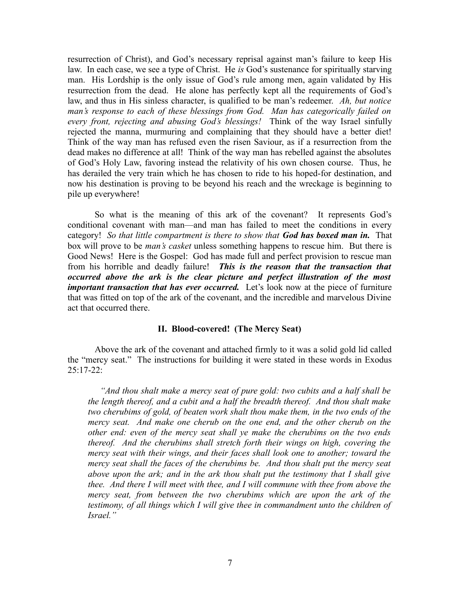resurrection of Christ), and God's necessary reprisal against man's failure to keep His law. In each case, we see a type of Christ. He *is* God's sustenance for spiritually starving man. His Lordship is the only issue of God's rule among men, again validated by His resurrection from the dead. He alone has perfectly kept all the requirements of God's law, and thus in His sinless character, is qualified to be man's redeemer. *Ah, but notice man's response to each of these blessings from God. Man has categorically failed on every front, rejecting and abusing God's blessings!* Think of the way Israel sinfully rejected the manna, murmuring and complaining that they should have a better diet! Think of the way man has refused even the risen Saviour, as if a resurrection from the dead makes no difference at all! Think of the way man has rebelled against the absolutes of God's Holy Law, favoring instead the relativity of his own chosen course. Thus, he has derailed the very train which he has chosen to ride to his hoped-for destination, and now his destination is proving to be beyond his reach and the wreckage is beginning to pile up everywhere!

So what is the meaning of this ark of the covenant? It represents God's conditional covenant with man—and man has failed to meet the conditions in every category! *So that little compartment is there to show that God has boxed man in.* That box will prove to be *man's casket* unless something happens to rescue him. But there is Good News! Here is the Gospel: God has made full and perfect provision to rescue man from his horrible and deadly failure! *This is the reason that the transaction that occurred above the ark is the clear picture and perfect illustration of the most important transaction that has ever occurred.* Let's look now at the piece of furniture that was fitted on top of the ark of the covenant, and the incredible and marvelous Divine act that occurred there.

# **II. Blood-covered! (The Mercy Seat)**

Above the ark of the covenant and attached firmly to it was a solid gold lid called the "mercy seat." The instructions for building it were stated in these words in Exodus  $25:17-22$ :

 *"And thou shalt make a mercy seat of pure gold: two cubits and a half shall be the length thereof, and a cubit and a half the breadth thereof. And thou shalt make two cherubims of gold, of beaten work shalt thou make them, in the two ends of the mercy seat. And make one cherub on the one end, and the other cherub on the other end: even of the mercy seat shall ye make the cherubims on the two ends thereof. And the cherubims shall stretch forth their wings on high, covering the mercy seat with their wings, and their faces shall look one to another; toward the mercy seat shall the faces of the cherubims be. And thou shalt put the mercy seat above upon the ark; and in the ark thou shalt put the testimony that I shall give thee. And there I will meet with thee, and I will commune with thee from above the mercy seat, from between the two cherubims which are upon the ark of the testimony, of all things which I will give thee in commandment unto the children of Israel."*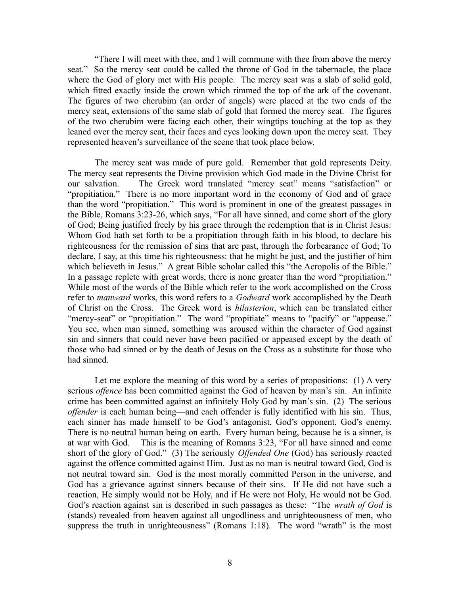"There I will meet with thee, and I will commune with thee from above the mercy seat." So the mercy seat could be called the throne of God in the tabernacle, the place where the God of glory met with His people. The mercy seat was a slab of solid gold, which fitted exactly inside the crown which rimmed the top of the ark of the covenant. The figures of two cherubim (an order of angels) were placed at the two ends of the mercy seat, extensions of the same slab of gold that formed the mercy seat. The figures of the two cherubim were facing each other, their wingtips touching at the top as they leaned over the mercy seat, their faces and eyes looking down upon the mercy seat. They represented heaven's surveillance of the scene that took place below.

The mercy seat was made of pure gold. Remember that gold represents Deity. The mercy seat represents the Divine provision which God made in the Divine Christ for our salvation. The Greek word translated "mercy seat" means "satisfaction" or "propitiation." There is no more important word in the economy of God and of grace than the word "propitiation." This word is prominent in one of the greatest passages in the Bible, Romans 3:23-26, which says, "For all have sinned, and come short of the glory of God; Being justified freely by his grace through the redemption that is in Christ Jesus: Whom God hath set forth to be a propitiation through faith in his blood, to declare his righteousness for the remission of sins that are past, through the forbearance of God; To declare, I say, at this time his righteousness: that he might be just, and the justifier of him which believeth in Jesus." A great Bible scholar called this "the Acropolis of the Bible." In a passage replete with great words, there is none greater than the word "propitiation." While most of the words of the Bible which refer to the work accomplished on the Cross refer to *manward* works, this word refers to a *Godward* work accomplished by the Death of Christ on the Cross. The Greek word is *hilasterion*, which can be translated either "mercy-seat" or "propitiation." The word "propitiate" means to "pacify" or "appease." You see, when man sinned, something was aroused within the character of God against sin and sinners that could never have been pacified or appeased except by the death of those who had sinned or by the death of Jesus on the Cross as a substitute for those who had sinned.

Let me explore the meaning of this word by a series of propositions: (1) A very serious *offence* has been committed against the God of heaven by man's sin. An infinite crime has been committed against an infinitely Holy God by man's sin. (2) The serious *offender* is each human being—and each offender is fully identified with his sin. Thus, each sinner has made himself to be God's antagonist, God's opponent, God's enemy. There is no neutral human being on earth. Every human being, because he is a sinner, is at war with God. This is the meaning of Romans 3:23, "For all have sinned and come short of the glory of God." (3) The seriously *Offended One* (God) has seriously reacted against the offence committed against Him. Just as no man is neutral toward God, God is not neutral toward sin. God is the most morally committed Person in the universe, and God has a grievance against sinners because of their sins. If He did not have such a reaction, He simply would not be Holy, and if He were not Holy, He would not be God. God's reaction against sin is described in such passages as these: "The *wrath of God* is (stands) revealed from heaven against all ungodliness and unrighteousness of men, who suppress the truth in unrighteousness" (Romans 1:18). The word "wrath" is the most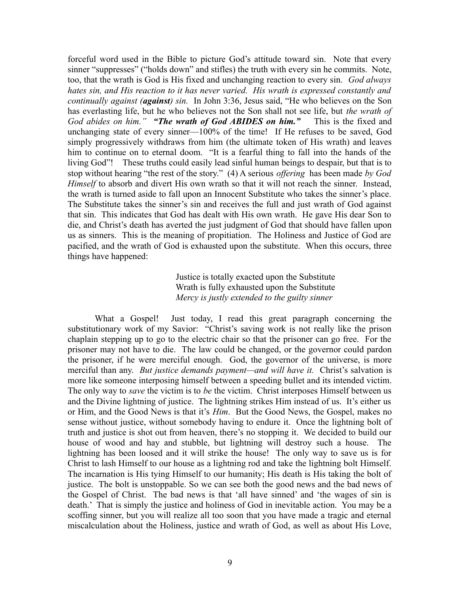forceful word used in the Bible to picture God's attitude toward sin. Note that every sinner "suppresses" ("holds down" and stifles) the truth with every sin he commits. Note, too, that the wrath is God is His fixed and unchanging reaction to every sin. *God always hates sin, and His reaction to it has never varied. His wrath is expressed constantly and continually against (against) sin.* In John 3:36, Jesus said, "He who believes on the Son has everlasting life, but he who believes not the Son shall not see life, but *the wrath of God abides on him." "The wrath of God ABIDES on him."* This is the fixed and unchanging state of every sinner—100% of the time! If He refuses to be saved, God simply progressively withdraws from him (the ultimate token of His wrath) and leaves him to continue on to eternal doom. "It is a fearful thing to fall into the hands of the living God"! These truths could easily lead sinful human beings to despair, but that is to stop without hearing "the rest of the story." (4) A serious *offering* has been made *by God Himself* to absorb and divert His own wrath so that it will not reach the sinner. Instead, the wrath is turned aside to fall upon an Innocent Substitute who takes the sinner's place. The Substitute takes the sinner's sin and receives the full and just wrath of God against that sin. This indicates that God has dealt with His own wrath. He gave His dear Son to die, and Christ's death has averted the just judgment of God that should have fallen upon us as sinners. This is the meaning of propitiation. The Holiness and Justice of God are pacified, and the wrath of God is exhausted upon the substitute. When this occurs, three things have happened:

> Justice is totally exacted upon the Substitute Wrath is fully exhausted upon the Substitute *Mercy is justly extended to the guilty sinner*

What a Gospel! Just today, I read this great paragraph concerning the substitutionary work of my Savior: "Christ's saving work is not really like the prison chaplain stepping up to go to the electric chair so that the prisoner can go free. For the prisoner may not have to die. The law could be changed, or the governor could pardon the prisoner, if he were merciful enough. God, the governor of the universe, is more merciful than any. *But justice demands payment—and will have it.* Christ's salvation is more like someone interposing himself between a speeding bullet and its intended victim. The only way to *save* the victim is to *be* the victim. Christ interposes Himself between us and the Divine lightning of justice. The lightning strikes Him instead of us. It's either us or Him, and the Good News is that it's *Him*. But the Good News, the Gospel, makes no sense without justice, without somebody having to endure it. Once the lightning bolt of truth and justice is shot out from heaven, there's no stopping it. We decided to build our house of wood and hay and stubble, but lightning will destroy such a house. The lightning has been loosed and it will strike the house! The only way to save us is for Christ to lash Himself to our house as a lightning rod and take the lightning bolt Himself. The incarnation is His tying Himself to our humanity; His death is His taking the bolt of justice. The bolt is unstoppable. So we can see both the good news and the bad news of the Gospel of Christ. The bad news is that 'all have sinned' and 'the wages of sin is death.' That is simply the justice and holiness of God in inevitable action. You may be a scoffing sinner, but you will realize all too soon that you have made a tragic and eternal miscalculation about the Holiness, justice and wrath of God, as well as about His Love,